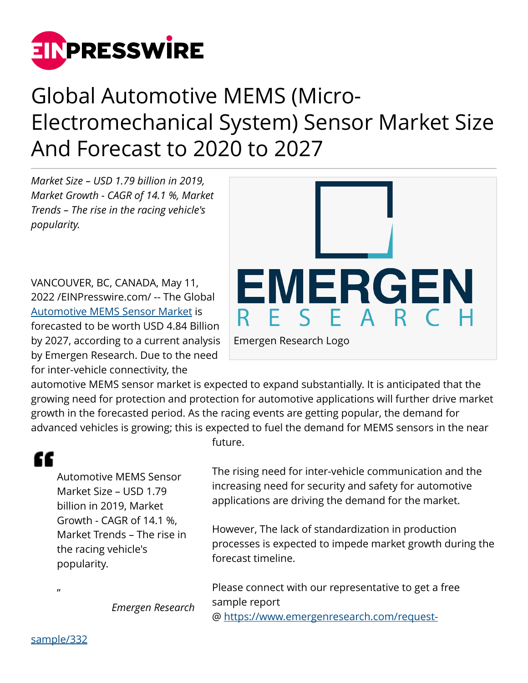

## Global Automotive MEMS (Micro-Electromechanical System) Sensor Market Size And Forecast to 2020 to 2027

*Market Size – USD 1.79 billion in 2019, Market Growth - CAGR of 14.1 %, Market Trends – The rise in the racing vehicle's popularity.*

VANCOUVER, BC, CANADA, May 11, 2022 /[EINPresswire.com](http://www.einpresswire.com)/ -- The Global [Automotive MEMS Sensor Market](https://www.emergenresearch.com/industry-report/automotive-mems-sensor-market) is forecasted to be worth USD 4.84 Billion by 2027, according to a current analysis by Emergen Research. Due to the need for inter-vehicle connectivity, the



automotive MEMS sensor market is expected to expand substantially. It is anticipated that the growing need for protection and protection for automotive applications will further drive market growth in the forecasted period. As the racing events are getting popular, the demand for advanced vehicles is growing; this is expected to fuel the demand for MEMS sensors in the near

## "

Automotive MEMS Sensor Market Size – USD 1.79 billion in 2019, Market Growth - CAGR of 14.1 %, Market Trends – The rise in the racing vehicle's popularity.

future.

The rising need for inter-vehicle communication and the increasing need for security and safety for automotive applications are driving the demand for the market.

However, The lack of standardization in production processes is expected to impede market growth during the forecast timeline.

Please connect with our representative to get a free sample report @ [https://www.emergenresearch.com/request-](https://www.emergenresearch.com/request-sample/332)

*Emergen Research*

[sample/332](https://www.emergenresearch.com/request-sample/332)

 $\boldsymbol{\eta}$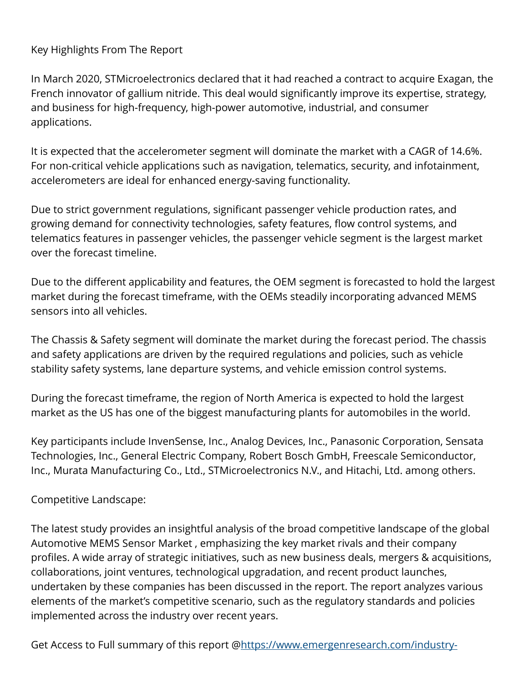Key Highlights From The Report

In March 2020, STMicroelectronics declared that it had reached a contract to acquire Exagan, the French innovator of gallium nitride. This deal would significantly improve its expertise, strategy, and business for high-frequency, high-power automotive, industrial, and consumer applications.

It is expected that the accelerometer segment will dominate the market with a CAGR of 14.6%. For non-critical vehicle applications such as navigation, telematics, security, and infotainment, accelerometers are ideal for enhanced energy-saving functionality.

Due to strict government regulations, significant passenger vehicle production rates, and growing demand for connectivity technologies, safety features, flow control systems, and telematics features in passenger vehicles, the passenger vehicle segment is the largest market over the forecast timeline.

Due to the different applicability and features, the OEM segment is forecasted to hold the largest market during the forecast timeframe, with the OEMs steadily incorporating advanced MEMS sensors into all vehicles.

The Chassis & Safety segment will dominate the market during the forecast period. The chassis and safety applications are driven by the required regulations and policies, such as vehicle stability safety systems, lane departure systems, and vehicle emission control systems.

During the forecast timeframe, the region of North America is expected to hold the largest market as the US has one of the biggest manufacturing plants for automobiles in the world.

Key participants include InvenSense, Inc., Analog Devices, Inc., Panasonic Corporation, Sensata Technologies, Inc., General Electric Company, Robert Bosch GmbH, Freescale Semiconductor, Inc., Murata Manufacturing Co., Ltd., STMicroelectronics N.V., and Hitachi, Ltd. among others.

## Competitive Landscape:

The latest study provides an insightful analysis of the broad competitive landscape of the global Automotive MEMS Sensor Market , emphasizing the key market rivals and their company profiles. A wide array of strategic initiatives, such as new business deals, mergers & acquisitions, collaborations, joint ventures, technological upgradation, and recent product launches, undertaken by these companies has been discussed in the report. The report analyzes various elements of the market's competitive scenario, such as the regulatory standards and policies implemented across the industry over recent years.

Get Access to Full summary of this report [@https://www.emergenresearch.com/industry-](https://www.emergenresearch.com/industry-report/automotive-mems-sensor-market)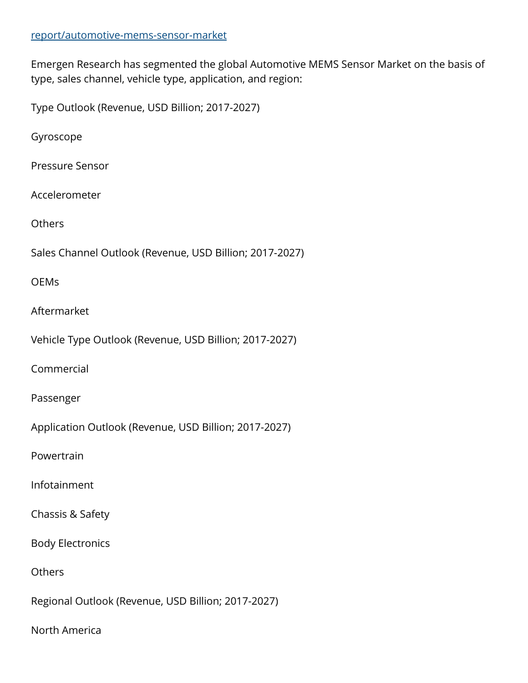## [report/automotive-mems-sensor-market](https://www.emergenresearch.com/industry-report/automotive-mems-sensor-market)

Emergen Research has segmented the global Automotive MEMS Sensor Market on the basis of type, sales channel, vehicle type, application, and region:

Type Outlook (Revenue, USD Billion; 2017-2027)

Gyroscope

Pressure Sensor

Accelerometer

**Others** 

Sales Channel Outlook (Revenue, USD Billion; 2017-2027)

**OEMs** 

Aftermarket

Vehicle Type Outlook (Revenue, USD Billion; 2017-2027)

Commercial

Passenger

Application Outlook (Revenue, USD Billion; 2017-2027)

Powertrain

Infotainment

Chassis & Safety

Body Electronics

**Others** 

Regional Outlook (Revenue, USD Billion; 2017-2027)

North America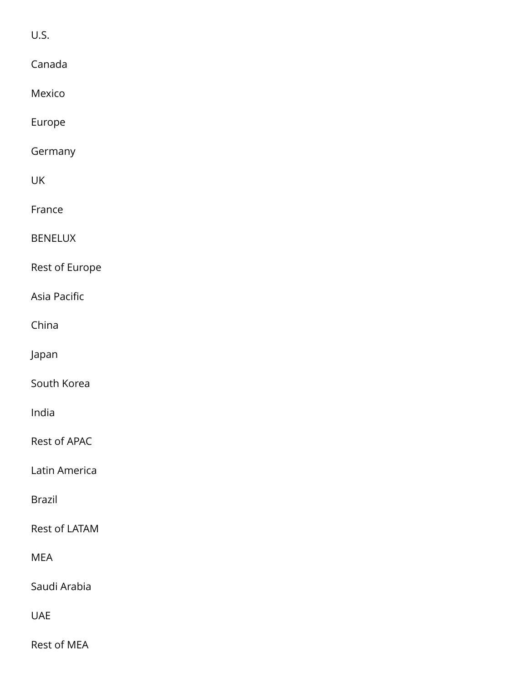U.S.

| Canada         |
|----------------|
| Mexico         |
| Europe         |
| Germany        |
| UK             |
| France         |
| <b>BENELUX</b> |
| Rest of Europe |
| Asia Pacific   |
| China          |
| Japan          |
| South Korea    |
| India          |
| Rest of APAC   |
| Latin America  |
| <b>Brazil</b>  |
| Rest of LATAM  |
| <b>MEA</b>     |
| Saudi Arabia   |
| <b>UAE</b>     |
| Rest of MEA    |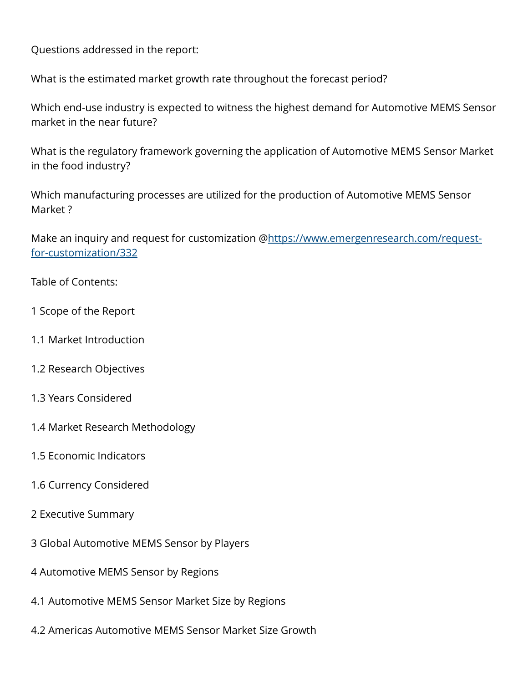Questions addressed in the report:

What is the estimated market growth rate throughout the forecast period?

Which end-use industry is expected to witness the highest demand for Automotive MEMS Sensor market in the near future?

What is the regulatory framework governing the application of Automotive MEMS Sensor Market in the food industry?

Which manufacturing processes are utilized for the production of Automotive MEMS Sensor Market ?

Make an inquiry and request for customization @[https://www.emergenresearch.com/request](https://www.emergenresearch.com/request-for-customization/332)[for-customization/332](https://www.emergenresearch.com/request-for-customization/332)

Table of Contents:

- 1 Scope of the Report
- 1.1 Market Introduction
- 1.2 Research Objectives
- 1.3 Years Considered
- 1.4 Market Research Methodology
- 1.5 Economic Indicators
- 1.6 Currency Considered
- 2 Executive Summary
- 3 Global Automotive MEMS Sensor by Players
- 4 Automotive MEMS Sensor by Regions
- 4.1 Automotive MEMS Sensor Market Size by Regions
- 4.2 Americas Automotive MEMS Sensor Market Size Growth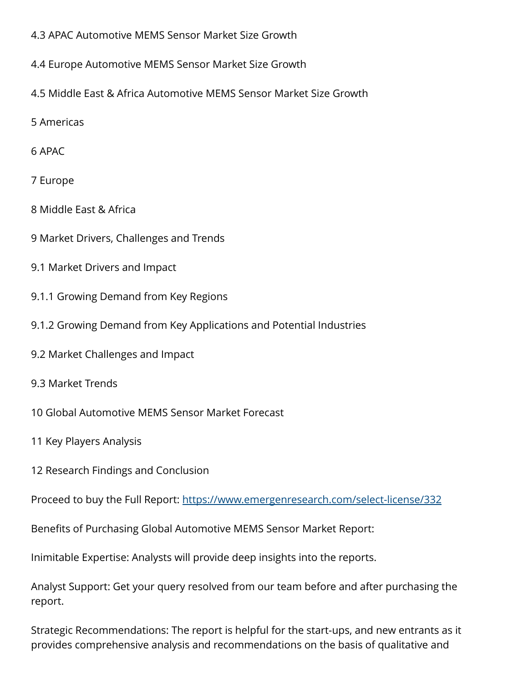- 4.3 APAC Automotive MEMS Sensor Market Size Growth
- 4.4 Europe Automotive MEMS Sensor Market Size Growth
- 4.5 Middle East & Africa Automotive MEMS Sensor Market Size Growth
- 5 Americas
- 6 APAC
- 7 Europe
- 8 Middle East & Africa
- 9 Market Drivers, Challenges and Trends
- 9.1 Market Drivers and Impact
- 9.1.1 Growing Demand from Key Regions
- 9.1.2 Growing Demand from Key Applications and Potential Industries
- 9.2 Market Challenges and Impact
- 9.3 Market Trends
- 10 Global Automotive MEMS Sensor Market Forecast
- 11 Key Players Analysis
- 12 Research Findings and Conclusion

Proceed to buy the Full Report:<https://www.emergenresearch.com/select-license/332>

Benefits of Purchasing Global Automotive MEMS Sensor Market Report:

Inimitable Expertise: Analysts will provide deep insights into the reports.

Analyst Support: Get your query resolved from our team before and after purchasing the report.

Strategic Recommendations: The report is helpful for the start-ups, and new entrants as it provides comprehensive analysis and recommendations on the basis of qualitative and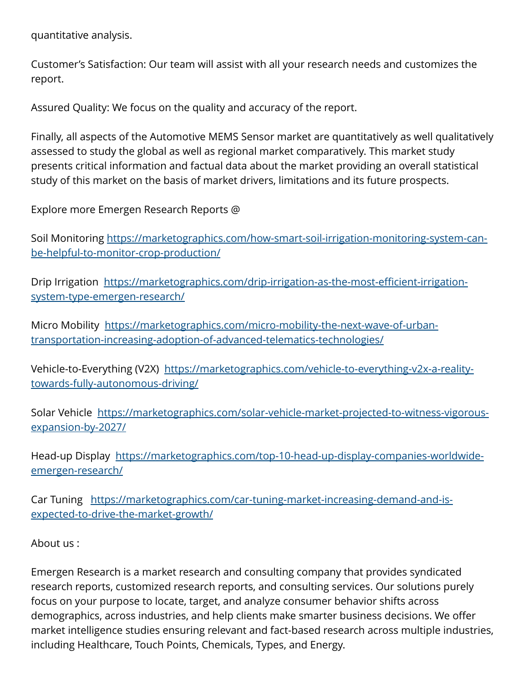quantitative analysis.

Customer's Satisfaction: Our team will assist with all your research needs and customizes the report.

Assured Quality: We focus on the quality and accuracy of the report.

Finally, all aspects of the Automotive MEMS Sensor market are quantitatively as well qualitatively assessed to study the global as well as regional market comparatively. This market study presents critical information and factual data about the market providing an overall statistical study of this market on the basis of market drivers, limitations and its future prospects.

Explore more Emergen Research Reports @

Soil Monitoring [https://marketographics.com/how-smart-soil-irrigation-monitoring-system-can](https://marketographics.com/how-smart-soil-irrigation-monitoring-system-can-be-helpful-to-monitor-crop-production/)[be-helpful-to-monitor-crop-production/](https://marketographics.com/how-smart-soil-irrigation-monitoring-system-can-be-helpful-to-monitor-crop-production/) 

Drip Irrigation [https://marketographics.com/drip-irrigation-as-the-most-efficient-irrigation](https://marketographics.com/drip-irrigation-as-the-most-efficient-irrigation-system-type-emergen-research/)[system-type-emergen-research/](https://marketographics.com/drip-irrigation-as-the-most-efficient-irrigation-system-type-emergen-research/)

Micro Mobility [https://marketographics.com/micro-mobility-the-next-wave-of-urban](https://marketographics.com/micro-mobility-the-next-wave-of-urban-transportation-increasing-adoption-of-advanced-telematics-technologies/)[transportation-increasing-adoption-of-advanced-telematics-technologies/](https://marketographics.com/micro-mobility-the-next-wave-of-urban-transportation-increasing-adoption-of-advanced-telematics-technologies/)

Vehicle-to-Everything (V2X) [https://marketographics.com/vehicle-to-everything-v2x-a-reality](https://marketographics.com/vehicle-to-everything-v2x-a-reality-towards-fully-autonomous-driving/)[towards-fully-autonomous-driving/](https://marketographics.com/vehicle-to-everything-v2x-a-reality-towards-fully-autonomous-driving/)

Solar Vehicle  [https://marketographics.com/solar-vehicle-market-projected-to-witness-vigorous](https://marketographics.com/solar-vehicle-market-projected-to-witness-vigorous-expansion-by-2027/)[expansion-by-2027/](https://marketographics.com/solar-vehicle-market-projected-to-witness-vigorous-expansion-by-2027/)

Head-up Display  [https://marketographics.com/top-10-head-up-display-companies-worldwide](https://marketographics.com/top-10-head-up-display-companies-worldwide-emergen-research/)[emergen-research/](https://marketographics.com/top-10-head-up-display-companies-worldwide-emergen-research/) 

Car Tuning  [https://marketographics.com/car-tuning-market-increasing-demand-and-is](https://marketographics.com/car-tuning-market-increasing-demand-and-is-expected-to-drive-the-market-growth/)[expected-to-drive-the-market-growth/](https://marketographics.com/car-tuning-market-increasing-demand-and-is-expected-to-drive-the-market-growth/)

About us :

Emergen Research is a market research and consulting company that provides syndicated research reports, customized research reports, and consulting services. Our solutions purely focus on your purpose to locate, target, and analyze consumer behavior shifts across demographics, across industries, and help clients make smarter business decisions. We offer market intelligence studies ensuring relevant and fact-based research across multiple industries, including Healthcare, Touch Points, Chemicals, Types, and Energy.